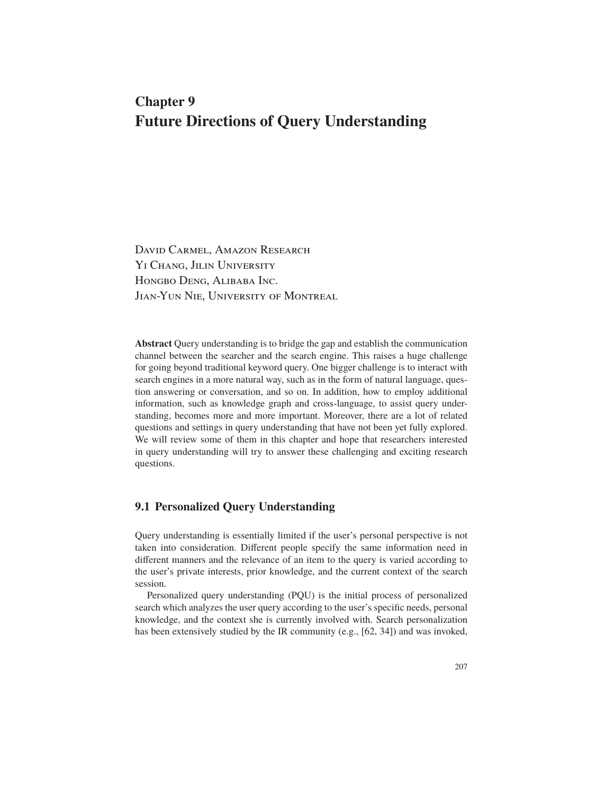# **Chapter 9 Future Directions of Query Understanding**

David Carmel, Amazon Research Yi Chang, Jilin University Hongbo Deng, Alibaba Inc. Jian-Yun Nie, University of Montreal

**Abstract** Query understanding is to bridge the gap and establish the communication channel between the searcher and the search engine. This raises a huge challenge for going beyond traditional keyword query. One bigger challenge is to interact with search engines in a more natural way, such as in the form of natural language, question answering or conversation, and so on. In addition, how to employ additional information, such as knowledge graph and cross-language, to assist query understanding, becomes more and more important. Moreover, there are a lot of related questions and settings in query understanding that have not been yet fully explored. We will review some of them in this chapter and hope that researchers interested in query understanding will try to answer these challenging and exciting research questions.

# **9.1 Personalized Query Understanding**

Query understanding is essentially limited if the user's personal perspective is not taken into consideration. Different people specify the same information need in different manners and the relevance of an item to the query is varied according to the user's private interests, prior knowledge, and the current context of the search session.

Personalized query understanding (PQU) is the initial process of personalized search which analyzes the user query according to the user's specific needs, personal knowledge, and the context she is currently involved with. Search personalization has been extensively studied by the IR community (e.g., [62, 34]) and was invoked,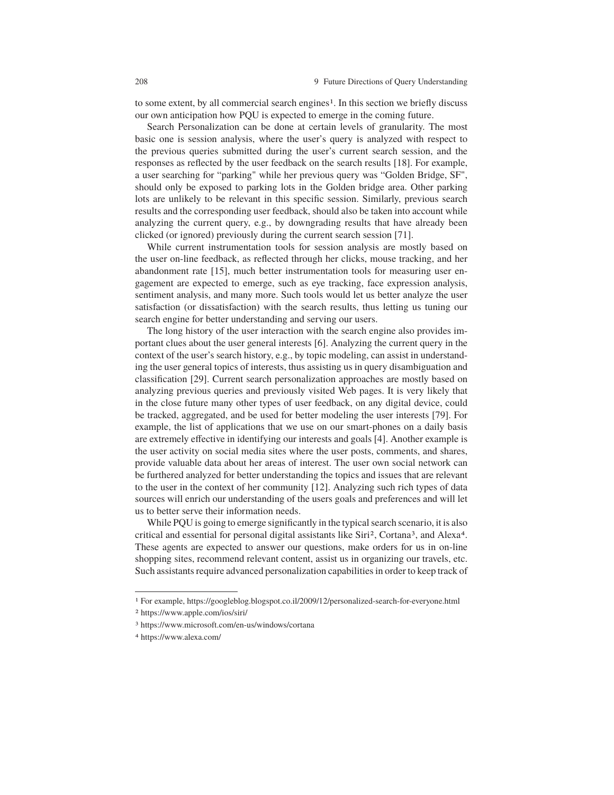to some extent, by all commercial search engines1. In this section we briefly discuss our own anticipation how PQU is expected to emerge in the coming future.

Search Personalization can be done at certain levels of granularity. The most basic one is session analysis, where the user's query is analyzed with respect to the previous queries submitted during the user's current search session, and the responses as reflected by the user feedback on the search results [18]. For example, a user searching for "parking" while her previous query was "Golden Bridge, SF", should only be exposed to parking lots in the Golden bridge area. Other parking lots are unlikely to be relevant in this specific session. Similarly, previous search results and the corresponding user feedback, should also be taken into account while analyzing the current query, e.g., by downgrading results that have already been clicked (or ignored) previously during the current search session [71].

While current instrumentation tools for session analysis are mostly based on the user on-line feedback, as reflected through her clicks, mouse tracking, and her abandonment rate [15], much better instrumentation tools for measuring user engagement are expected to emerge, such as eye tracking, face expression analysis, sentiment analysis, and many more. Such tools would let us better analyze the user satisfaction (or dissatisfaction) with the search results, thus letting us tuning our search engine for better understanding and serving our users.

The long history of the user interaction with the search engine also provides important clues about the user general interests [6]. Analyzing the current query in the context of the user's search history, e.g., by topic modeling, can assist in understanding the user general topics of interests, thus assisting us in query disambiguation and classification [29]. Current search personalization approaches are mostly based on analyzing previous queries and previously visited Web pages. It is very likely that in the close future many other types of user feedback, on any digital device, could be tracked, aggregated, and be used for better modeling the user interests [79]. For example, the list of applications that we use on our smart-phones on a daily basis are extremely effective in identifying our interests and goals [4]. Another example is the user activity on social media sites where the user posts, comments, and shares, provide valuable data about her areas of interest. The user own social network can be furthered analyzed for better understanding the topics and issues that are relevant to the user in the context of her community [12]. Analyzing such rich types of data sources will enrich our understanding of the users goals and preferences and will let us to better serve their information needs.

While PQU is going to emerge significantly in the typical search scenario, it is also critical and essential for personal digital assistants like Siri2, Cortana3, and Alexa4. These agents are expected to answer our questions, make orders for us in on-line shopping sites, recommend relevant content, assist us in organizing our travels, etc. Such assistants require advanced personalization capabilities in order to keep track of

<sup>1</sup> For example, https://googleblog.blogspot.co.il/2009/12/personalized-search-for-everyone.html

<sup>2</sup> https://www.apple.com/ios/siri/

<sup>3</sup> https://www.microsoft.com/en-us/windows/cortana

<sup>4</sup> https://www.alexa.com/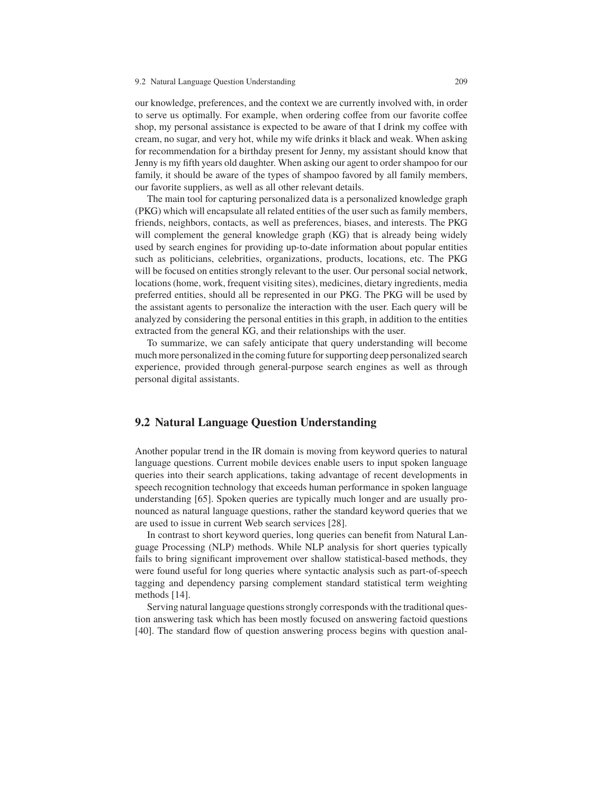#### 9.2 Natural Language Question Understanding 209

our knowledge, preferences, and the context we are currently involved with, in order to serve us optimally. For example, when ordering coffee from our favorite coffee shop, my personal assistance is expected to be aware of that I drink my coffee with cream, no sugar, and very hot, while my wife drinks it black and weak. When asking for recommendation for a birthday present for Jenny, my assistant should know that Jenny is my fifth years old daughter. When asking our agent to order shampoo for our family, it should be aware of the types of shampoo favored by all family members, our favorite suppliers, as well as all other relevant details.

The main tool for capturing personalized data is a personalized knowledge graph (PKG) which will encapsulate all related entities of the user such as family members, friends, neighbors, contacts, as well as preferences, biases, and interests. The PKG will complement the general knowledge graph (KG) that is already being widely used by search engines for providing up-to-date information about popular entities such as politicians, celebrities, organizations, products, locations, etc. The PKG will be focused on entities strongly relevant to the user. Our personal social network, locations (home, work, frequent visiting sites), medicines, dietary ingredients, media preferred entities, should all be represented in our PKG. The PKG will be used by the assistant agents to personalize the interaction with the user. Each query will be analyzed by considering the personal entities in this graph, in addition to the entities extracted from the general KG, and their relationships with the user.

To summarize, we can safely anticipate that query understanding will become much more personalized in the coming future for supporting deep personalized search experience, provided through general-purpose search engines as well as through personal digital assistants.

### **9.2 Natural Language Question Understanding**

Another popular trend in the IR domain is moving from keyword queries to natural language questions. Current mobile devices enable users to input spoken language queries into their search applications, taking advantage of recent developments in speech recognition technology that exceeds human performance in spoken language understanding [65]. Spoken queries are typically much longer and are usually pronounced as natural language questions, rather the standard keyword queries that we are used to issue in current Web search services [28].

In contrast to short keyword queries, long queries can benefit from Natural Language Processing (NLP) methods. While NLP analysis for short queries typically fails to bring significant improvement over shallow statistical-based methods, they were found useful for long queries where syntactic analysis such as part-of-speech tagging and dependency parsing complement standard statistical term weighting methods [14].

Serving natural language questions strongly corresponds with the traditional question answering task which has been mostly focused on answering factoid questions [40]. The standard flow of question answering process begins with question anal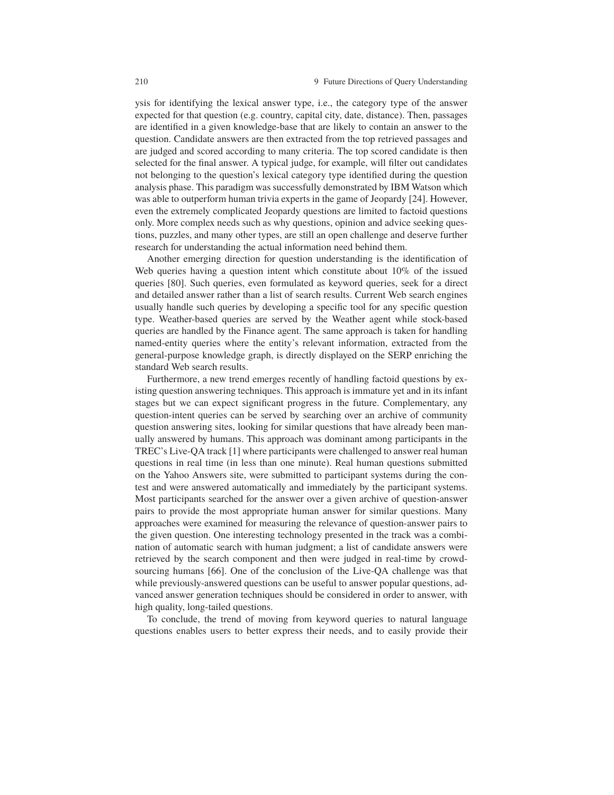ysis for identifying the lexical answer type, i.e., the category type of the answer expected for that question (e.g. country, capital city, date, distance). Then, passages are identified in a given knowledge-base that are likely to contain an answer to the question. Candidate answers are then extracted from the top retrieved passages and are judged and scored according to many criteria. The top scored candidate is then selected for the final answer. A typical judge, for example, will filter out candidates not belonging to the question's lexical category type identified during the question analysis phase. This paradigm was successfully demonstrated by IBM Watson which was able to outperform human trivia experts in the game of Jeopardy [24]. However, even the extremely complicated Jeopardy questions are limited to factoid questions only. More complex needs such as why questions, opinion and advice seeking questions, puzzles, and many other types, are still an open challenge and deserve further research for understanding the actual information need behind them.

Another emerging direction for question understanding is the identification of Web queries having a question intent which constitute about 10% of the issued queries [80]. Such queries, even formulated as keyword queries, seek for a direct and detailed answer rather than a list of search results. Current Web search engines usually handle such queries by developing a specific tool for any specific question type. Weather-based queries are served by the Weather agent while stock-based queries are handled by the Finance agent. The same approach is taken for handling named-entity queries where the entity's relevant information, extracted from the general-purpose knowledge graph, is directly displayed on the SERP enriching the standard Web search results.

Furthermore, a new trend emerges recently of handling factoid questions by existing question answering techniques. This approach is immature yet and in its infant stages but we can expect significant progress in the future. Complementary, any question-intent queries can be served by searching over an archive of community question answering sites, looking for similar questions that have already been manually answered by humans. This approach was dominant among participants in the TREC's Live-QA track [1] where participants were challenged to answer real human questions in real time (in less than one minute). Real human questions submitted on the Yahoo Answers site, were submitted to participant systems during the contest and were answered automatically and immediately by the participant systems. Most participants searched for the answer over a given archive of question-answer pairs to provide the most appropriate human answer for similar questions. Many approaches were examined for measuring the relevance of question-answer pairs to the given question. One interesting technology presented in the track was a combination of automatic search with human judgment; a list of candidate answers were retrieved by the search component and then were judged in real-time by crowdsourcing humans [66]. One of the conclusion of the Live-QA challenge was that while previously-answered questions can be useful to answer popular questions, advanced answer generation techniques should be considered in order to answer, with high quality, long-tailed questions.

To conclude, the trend of moving from keyword queries to natural language questions enables users to better express their needs, and to easily provide their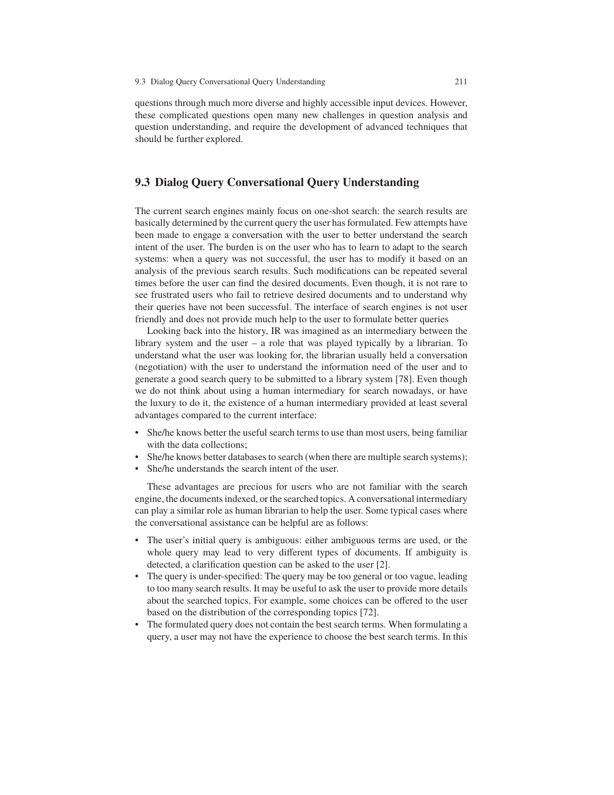questions through much more diverse and highly accessible input devices. However, these complicated questions open many new challenges in question analysis and question understanding, and require the development of advanced techniques that should be further explored.

# **9.3 Dialog Query Conversational Query Understanding**

The current search engines mainly focus on one-shot search: the search results are basically determined by the current query the user has formulated. Few attempts have been made to engage a conversation with the user to better understand the search intent of the user. The burden is on the user who has to learn to adapt to the search systems: when a query was not successful, the user has to modify it based on an analysis of the previous search results. Such modifications can be repeated several times before the user can find the desired documents. Even though, it is not rare to see frustrated users who fail to retrieve desired documents and to understand why their queries have not been successful. The interface of search engines is not user friendly and does not provide much help to the user to formulate better queries

Looking back into the history, IR was imagined as an intermediary between the library system and the user – a role that was played typically by a librarian. To understand what the user was looking for, the librarian usually held a conversation (negotiation) with the user to understand the information need of the user and to generate a good search query to be submitted to a library system [78]. Even though we do not think about using a human intermediary for search nowadays, or have the luxury to do it, the existence of a human intermediary provided at least several advantages compared to the current interface:

- She/he knows better the useful search terms to use than most users, being familiar with the data collections;
- She/he knows better databases to search (when there are multiple search systems);
- She/he understands the search intent of the user.

These advantages are precious for users who are not familiar with the search engine, the documents indexed, or the searched topics. A conversational intermediary can play a similar role as human librarian to help the user. Some typical cases where the conversational assistance can be helpful are as follows:

- The user's initial query is ambiguous: either ambiguous terms are used, or the whole query may lead to very different types of documents. If ambiguity is detected, a clarification question can be asked to the user [2].
- The query is under-specified: The query may be too general or too vague, leading to too many search results. It may be useful to ask the user to provide more details about the searched topics. For example, some choices can be offered to the user based on the distribution of the corresponding topics [72].
- The formulated query does not contain the best search terms. When formulating a query, a user may not have the experience to choose the best search terms. In this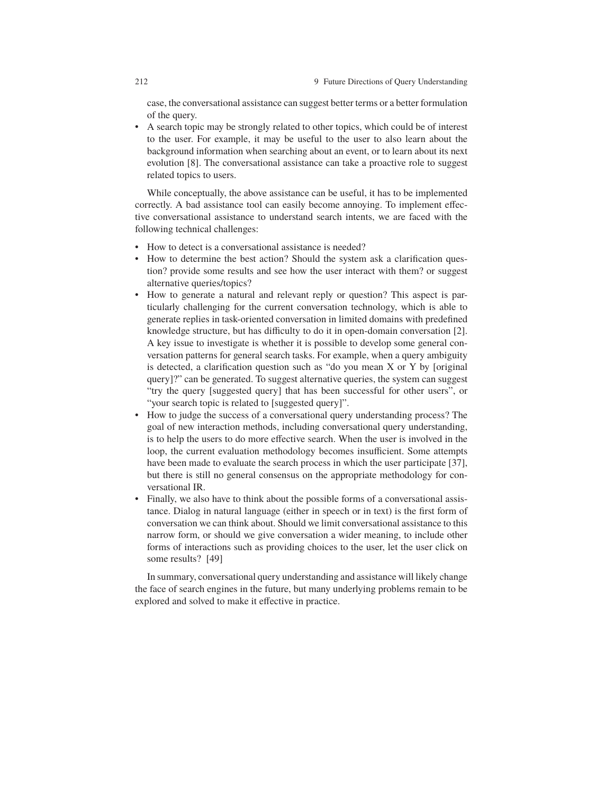case, the conversational assistance can suggest better terms or a better formulation of the query.

• A search topic may be strongly related to other topics, which could be of interest to the user. For example, it may be useful to the user to also learn about the background information when searching about an event, or to learn about its next evolution [8]. The conversational assistance can take a proactive role to suggest related topics to users.

While conceptually, the above assistance can be useful, it has to be implemented correctly. A bad assistance tool can easily become annoying. To implement effective conversational assistance to understand search intents, we are faced with the following technical challenges:

- How to detect is a conversational assistance is needed?
- How to determine the best action? Should the system ask a clarification question? provide some results and see how the user interact with them? or suggest alternative queries/topics?
- How to generate a natural and relevant reply or question? This aspect is particularly challenging for the current conversation technology, which is able to generate replies in task-oriented conversation in limited domains with predefined knowledge structure, but has difficulty to do it in open-domain conversation [2]. A key issue to investigate is whether it is possible to develop some general conversation patterns for general search tasks. For example, when a query ambiguity is detected, a clarification question such as "do you mean X or Y by [original query]?" can be generated. To suggest alternative queries, the system can suggest "try the query [suggested query] that has been successful for other users", or "your search topic is related to [suggested query]".
- How to judge the success of a conversational query understanding process? The goal of new interaction methods, including conversational query understanding, is to help the users to do more effective search. When the user is involved in the loop, the current evaluation methodology becomes insufficient. Some attempts have been made to evaluate the search process in which the user participate [37], but there is still no general consensus on the appropriate methodology for conversational IR.
- Finally, we also have to think about the possible forms of a conversational assistance. Dialog in natural language (either in speech or in text) is the first form of conversation we can think about. Should we limit conversational assistance to this narrow form, or should we give conversation a wider meaning, to include other forms of interactions such as providing choices to the user, let the user click on some results? [49]

In summary, conversational query understanding and assistance will likely change the face of search engines in the future, but many underlying problems remain to be explored and solved to make it effective in practice.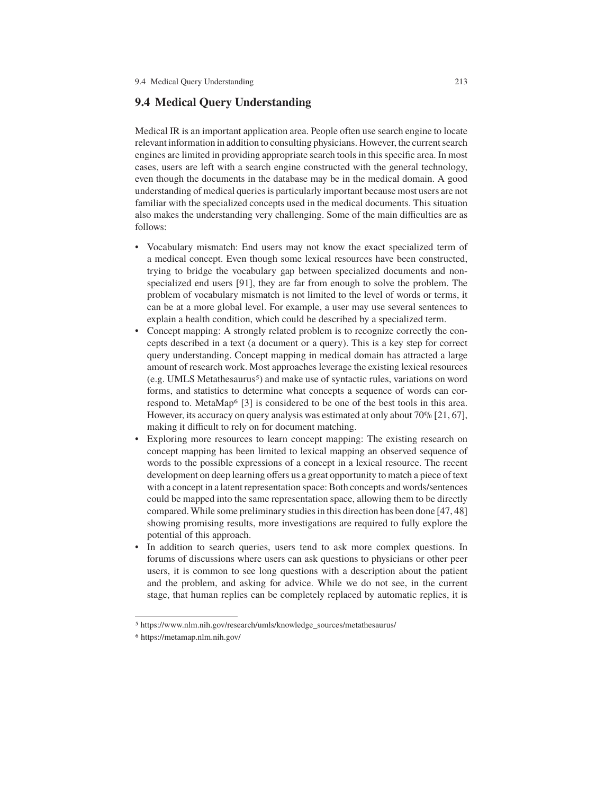### **9.4 Medical Query Understanding**

Medical IR is an important application area. People often use search engine to locate relevant information in addition to consulting physicians. However, the current search engines are limited in providing appropriate search tools in this specific area. In most cases, users are left with a search engine constructed with the general technology, even though the documents in the database may be in the medical domain. A good understanding of medical queries is particularly important because most users are not familiar with the specialized concepts used in the medical documents. This situation also makes the understanding very challenging. Some of the main difficulties are as follows:

- Vocabulary mismatch: End users may not know the exact specialized term of a medical concept. Even though some lexical resources have been constructed, trying to bridge the vocabulary gap between specialized documents and nonspecialized end users [91], they are far from enough to solve the problem. The problem of vocabulary mismatch is not limited to the level of words or terms, it can be at a more global level. For example, a user may use several sentences to explain a health condition, which could be described by a specialized term.
- Concept mapping: A strongly related problem is to recognize correctly the concepts described in a text (a document or a query). This is a key step for correct query understanding. Concept mapping in medical domain has attracted a large amount of research work. Most approaches leverage the existing lexical resources (e.g. UMLS Metathesaurus<sup>5</sup>) and make use of syntactic rules, variations on word forms, and statistics to determine what concepts a sequence of words can correspond to. MetaMap<sup>6</sup> [3] is considered to be one of the best tools in this area. However, its accuracy on query analysis was estimated at only about 70% [21, 67], making it difficult to rely on for document matching.
- Exploring more resources to learn concept mapping: The existing research on concept mapping has been limited to lexical mapping an observed sequence of words to the possible expressions of a concept in a lexical resource. The recent development on deep learning offers us a great opportunity to match a piece of text with a concept in a latent representation space: Both concepts and words/sentences could be mapped into the same representation space, allowing them to be directly compared. While some preliminary studies in this direction has been done [47, 48] showing promising results, more investigations are required to fully explore the potential of this approach.
- In addition to search queries, users tend to ask more complex questions. In forums of discussions where users can ask questions to physicians or other peer users, it is common to see long questions with a description about the patient and the problem, and asking for advice. While we do not see, in the current stage, that human replies can be completely replaced by automatic replies, it is

<sup>5</sup> https://www.nlm.nih.gov/research/umls/knowledge\_sources/metathesaurus/

<sup>6</sup> https://metamap.nlm.nih.gov/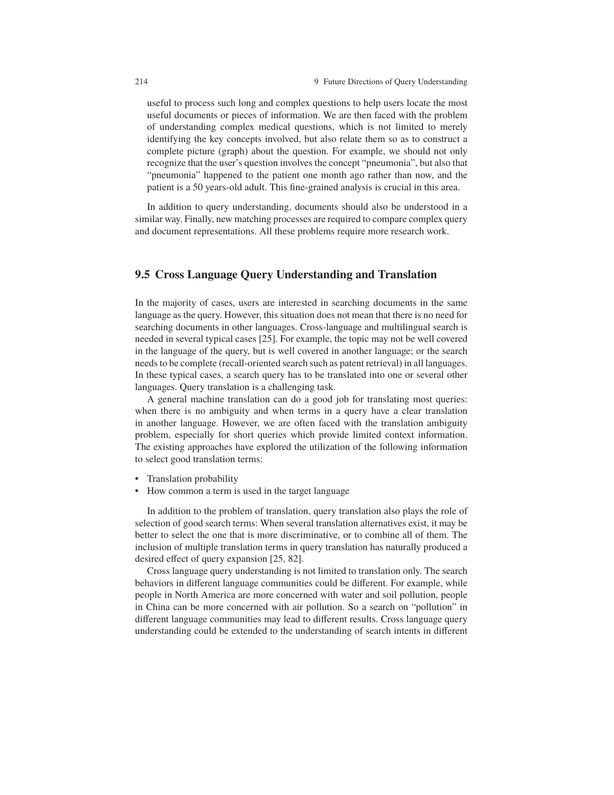useful to process such long and complex questions to help users locate the most useful documents or pieces of information. We are then faced with the problem of understanding complex medical questions, which is not limited to merely identifying the key concepts involved, but also relate them so as to construct a complete picture (graph) about the question. For example, we should not only recognize that the user's question involves the concept "pneumonia", but also that "pneumonia" happened to the patient one month ago rather than now, and the patient is a 50 years-old adult. This fine-grained analysis is crucial in this area.

In addition to query understanding, documents should also be understood in a similar way. Finally, new matching processes are required to compare complex query and document representations. All these problems require more research work.

### **9.5 Cross Language Query Understanding and Translation**

In the majority of cases, users are interested in searching documents in the same language as the query. However, this situation does not mean that there is no need for searching documents in other languages. Cross-language and multilingual search is needed in several typical cases [25]. For example, the topic may not be well covered in the language of the query, but is well covered in another language; or the search needs to be complete (recall-oriented search such as patent retrieval) in all languages. In these typical cases, a search query has to be translated into one or several other languages. Query translation is a challenging task.

A general machine translation can do a good job for translating most queries: when there is no ambiguity and when terms in a query have a clear translation in another language. However, we are often faced with the translation ambiguity problem, especially for short queries which provide limited context information. The existing approaches have explored the utilization of the following information to select good translation terms:

- Translation probability
- How common a term is used in the target language

In addition to the problem of translation, query translation also plays the role of selection of good search terms: When several translation alternatives exist, it may be better to select the one that is more discriminative, or to combine all of them. The inclusion of multiple translation terms in query translation has naturally produced a desired effect of query expansion [25, 82].

Cross language query understanding is not limited to translation only. The search behaviors in different language communities could be different. For example, while people in North America are more concerned with water and soil pollution, people in China can be more concerned with air pollution. So a search on "pollution" in different language communities may lead to different results. Cross language query understanding could be extended to the understanding of search intents in different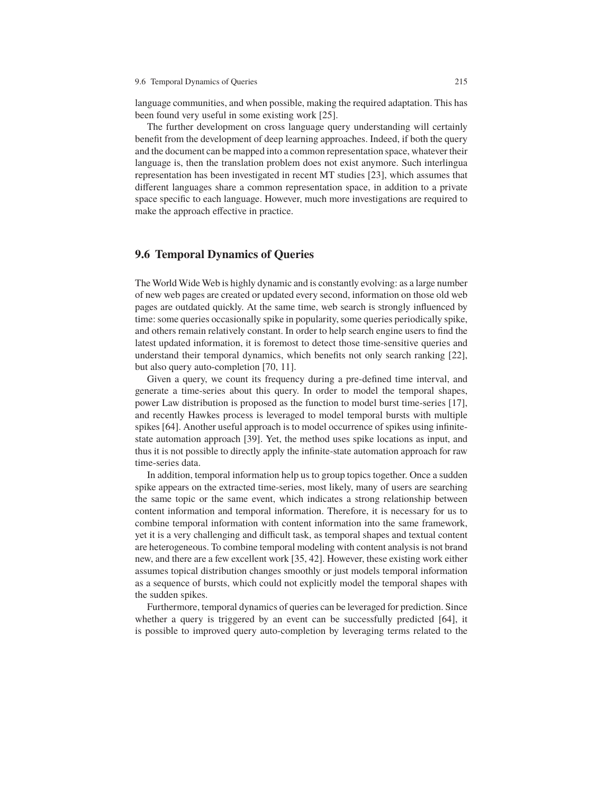language communities, and when possible, making the required adaptation. This has been found very useful in some existing work [25].

The further development on cross language query understanding will certainly benefit from the development of deep learning approaches. Indeed, if both the query and the document can be mapped into a common representation space, whatever their language is, then the translation problem does not exist anymore. Such interlingua representation has been investigated in recent MT studies [23], which assumes that different languages share a common representation space, in addition to a private space specific to each language. However, much more investigations are required to make the approach effective in practice.

### **9.6 Temporal Dynamics of Queries**

The World Wide Web is highly dynamic and is constantly evolving: as a large number of new web pages are created or updated every second, information on those old web pages are outdated quickly. At the same time, web search is strongly influenced by time: some queries occasionally spike in popularity, some queries periodically spike, and others remain relatively constant. In order to help search engine users to find the latest updated information, it is foremost to detect those time-sensitive queries and understand their temporal dynamics, which benefits not only search ranking [22], but also query auto-completion [70, 11].

Given a query, we count its frequency during a pre-defined time interval, and generate a time-series about this query. In order to model the temporal shapes, power Law distribution is proposed as the function to model burst time-series [17], and recently Hawkes process is leveraged to model temporal bursts with multiple spikes [64]. Another useful approach is to model occurrence of spikes using infinitestate automation approach [39]. Yet, the method uses spike locations as input, and thus it is not possible to directly apply the infinite-state automation approach for raw time-series data.

In addition, temporal information help us to group topics together. Once a sudden spike appears on the extracted time-series, most likely, many of users are searching the same topic or the same event, which indicates a strong relationship between content information and temporal information. Therefore, it is necessary for us to combine temporal information with content information into the same framework, yet it is a very challenging and difficult task, as temporal shapes and textual content are heterogeneous. To combine temporal modeling with content analysis is not brand new, and there are a few excellent work [35, 42]. However, these existing work either assumes topical distribution changes smoothly or just models temporal information as a sequence of bursts, which could not explicitly model the temporal shapes with the sudden spikes.

Furthermore, temporal dynamics of queries can be leveraged for prediction. Since whether a query is triggered by an event can be successfully predicted [64], it is possible to improved query auto-completion by leveraging terms related to the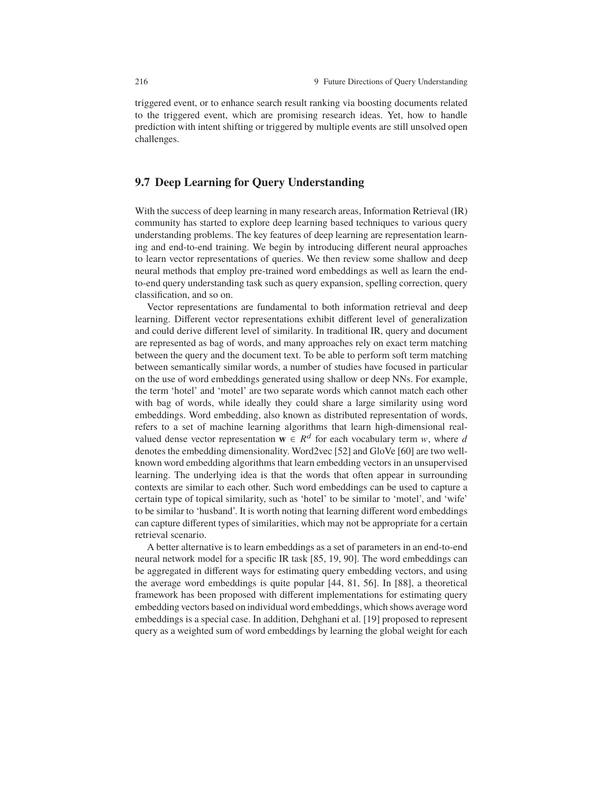triggered event, or to enhance search result ranking via boosting documents related to the triggered event, which are promising research ideas. Yet, how to handle prediction with intent shifting or triggered by multiple events are still unsolved open challenges.

# **9.7 Deep Learning for Query Understanding**

With the success of deep learning in many research areas, Information Retrieval (IR) community has started to explore deep learning based techniques to various query understanding problems. The key features of deep learning are representation learning and end-to-end training. We begin by introducing different neural approaches to learn vector representations of queries. We then review some shallow and deep neural methods that employ pre-trained word embeddings as well as learn the endto-end query understanding task such as query expansion, spelling correction, query classification, and so on.

Vector representations are fundamental to both information retrieval and deep learning. Different vector representations exhibit different level of generalization and could derive different level of similarity. In traditional IR, query and document are represented as bag of words, and many approaches rely on exact term matching between the query and the document text. To be able to perform soft term matching between semantically similar words, a number of studies have focused in particular on the use of word embeddings generated using shallow or deep NNs. For example, the term 'hotel' and 'motel' are two separate words which cannot match each other with bag of words, while ideally they could share a large similarity using word embeddings. Word embedding, also known as distributed representation of words, refers to a set of machine learning algorithms that learn high-dimensional realvalued dense vector representation **w**  $\in$   $\mathbb{R}^d$  for each vocabulary term *w*, where *d* denotes the embedding dimensionality. Word2vec [52] and GloVe [60] are two wellknown word embedding algorithms that learn embedding vectors in an unsupervised learning. The underlying idea is that the words that often appear in surrounding contexts are similar to each other. Such word embeddings can be used to capture a certain type of topical similarity, such as 'hotel' to be similar to 'motel', and 'wife' to be similar to 'husband'. It is worth noting that learning different word embeddings can capture different types of similarities, which may not be appropriate for a certain retrieval scenario.

A better alternative is to learn embeddings as a set of parameters in an end-to-end neural network model for a specific IR task [85, 19, 90]. The word embeddings can be aggregated in different ways for estimating query embedding vectors, and using the average word embeddings is quite popular [44, 81, 56]. In [88], a theoretical framework has been proposed with different implementations for estimating query embedding vectors based on individual word embeddings, which shows average word embeddings is a special case. In addition, Dehghani et al. [19] proposed to represent query as a weighted sum of word embeddings by learning the global weight for each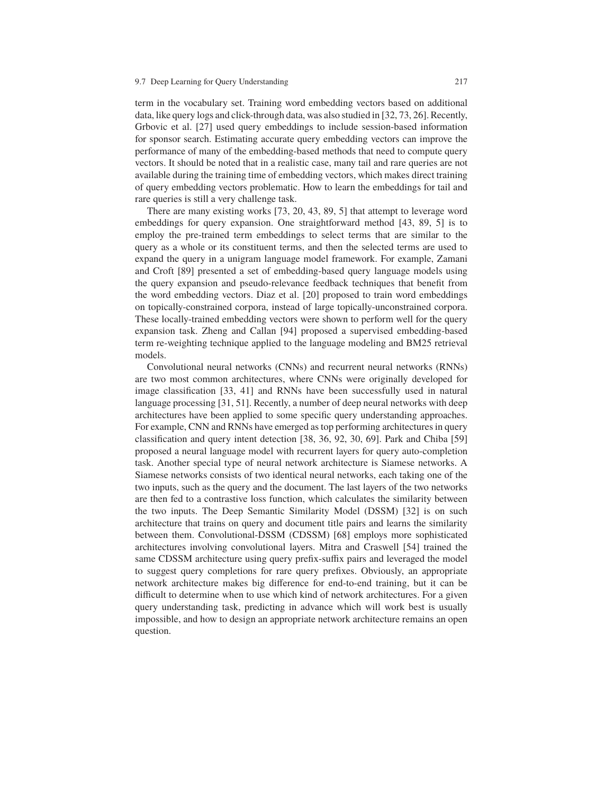term in the vocabulary set. Training word embedding vectors based on additional data, like query logs and click-through data, was also studied in [32, 73, 26]. Recently, Grbovic et al. [27] used query embeddings to include session-based information for sponsor search. Estimating accurate query embedding vectors can improve the performance of many of the embedding-based methods that need to compute query vectors. It should be noted that in a realistic case, many tail and rare queries are not available during the training time of embedding vectors, which makes direct training of query embedding vectors problematic. How to learn the embeddings for tail and rare queries is still a very challenge task.

There are many existing works [73, 20, 43, 89, 5] that attempt to leverage word embeddings for query expansion. One straightforward method [43, 89, 5] is to employ the pre-trained term embeddings to select terms that are similar to the query as a whole or its constituent terms, and then the selected terms are used to expand the query in a unigram language model framework. For example, Zamani and Croft [89] presented a set of embedding-based query language models using the query expansion and pseudo-relevance feedback techniques that benefit from the word embedding vectors. Diaz et al. [20] proposed to train word embeddings on topically-constrained corpora, instead of large topically-unconstrained corpora. These locally-trained embedding vectors were shown to perform well for the query expansion task. Zheng and Callan [94] proposed a supervised embedding-based term re-weighting technique applied to the language modeling and BM25 retrieval models.

Convolutional neural networks (CNNs) and recurrent neural networks (RNNs) are two most common architectures, where CNNs were originally developed for image classification [33, 41] and RNNs have been successfully used in natural language processing [31, 51]. Recently, a number of deep neural networks with deep architectures have been applied to some specific query understanding approaches. For example, CNN and RNNs have emerged as top performing architectures in query classification and query intent detection [38, 36, 92, 30, 69]. Park and Chiba [59] proposed a neural language model with recurrent layers for query auto-completion task. Another special type of neural network architecture is Siamese networks. A Siamese networks consists of two identical neural networks, each taking one of the two inputs, such as the query and the document. The last layers of the two networks are then fed to a contrastive loss function, which calculates the similarity between the two inputs. The Deep Semantic Similarity Model (DSSM) [32] is on such architecture that trains on query and document title pairs and learns the similarity between them. Convolutional-DSSM (CDSSM) [68] employs more sophisticated architectures involving convolutional layers. Mitra and Craswell [54] trained the same CDSSM architecture using query prefix-suffix pairs and leveraged the model to suggest query completions for rare query prefixes. Obviously, an appropriate network architecture makes big difference for end-to-end training, but it can be difficult to determine when to use which kind of network architectures. For a given query understanding task, predicting in advance which will work best is usually impossible, and how to design an appropriate network architecture remains an open question.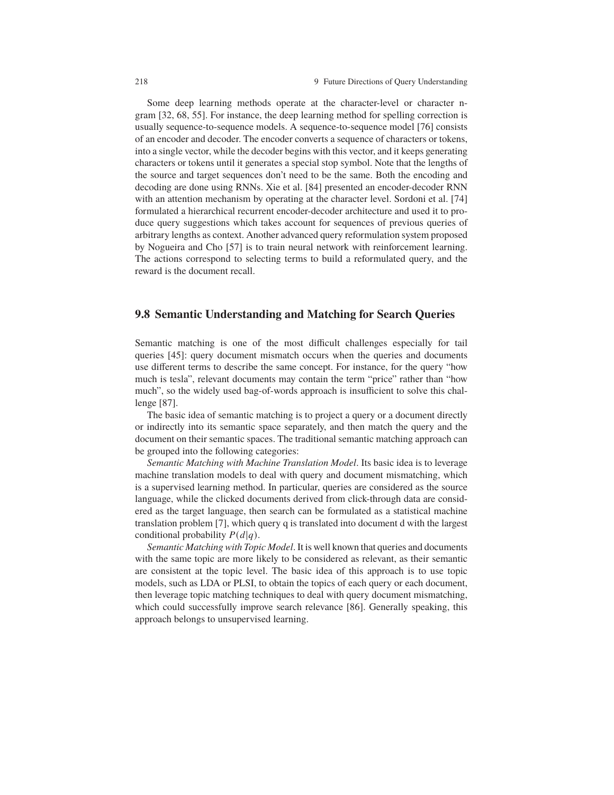Some deep learning methods operate at the character-level or character ngram [32, 68, 55]. For instance, the deep learning method for spelling correction is usually sequence-to-sequence models. A sequence-to-sequence model [76] consists of an encoder and decoder. The encoder converts a sequence of characters or tokens, into a single vector, while the decoder begins with this vector, and it keeps generating characters or tokens until it generates a special stop symbol. Note that the lengths of the source and target sequences don't need to be the same. Both the encoding and decoding are done using RNNs. Xie et al. [84] presented an encoder-decoder RNN with an attention mechanism by operating at the character level. Sordoni et al. [74] formulated a hierarchical recurrent encoder-decoder architecture and used it to produce query suggestions which takes account for sequences of previous queries of arbitrary lengths as context. Another advanced query reformulation system proposed by Nogueira and Cho [57] is to train neural network with reinforcement learning. The actions correspond to selecting terms to build a reformulated query, and the reward is the document recall.

### **9.8 Semantic Understanding and Matching for Search Queries**

Semantic matching is one of the most difficult challenges especially for tail queries [45]: query document mismatch occurs when the queries and documents use different terms to describe the same concept. For instance, for the query "how much is tesla", relevant documents may contain the term "price" rather than "how much", so the widely used bag-of-words approach is insufficient to solve this challenge [87].

The basic idea of semantic matching is to project a query or a document directly or indirectly into its semantic space separately, and then match the query and the document on their semantic spaces. The traditional semantic matching approach can be grouped into the following categories:

*Semantic Matching with Machine Translation Model*. Its basic idea is to leverage machine translation models to deal with query and document mismatching, which is a supervised learning method. In particular, queries are considered as the source language, while the clicked documents derived from click-through data are considered as the target language, then search can be formulated as a statistical machine translation problem [7], which query q is translated into document d with the largest conditional probability  $P(d|q)$ .

*Semantic Matching with Topic Model*. It is well known that queries and documents with the same topic are more likely to be considered as relevant, as their semantic are consistent at the topic level. The basic idea of this approach is to use topic models, such as LDA or PLSI, to obtain the topics of each query or each document, then leverage topic matching techniques to deal with query document mismatching, which could successfully improve search relevance [86]. Generally speaking, this approach belongs to unsupervised learning.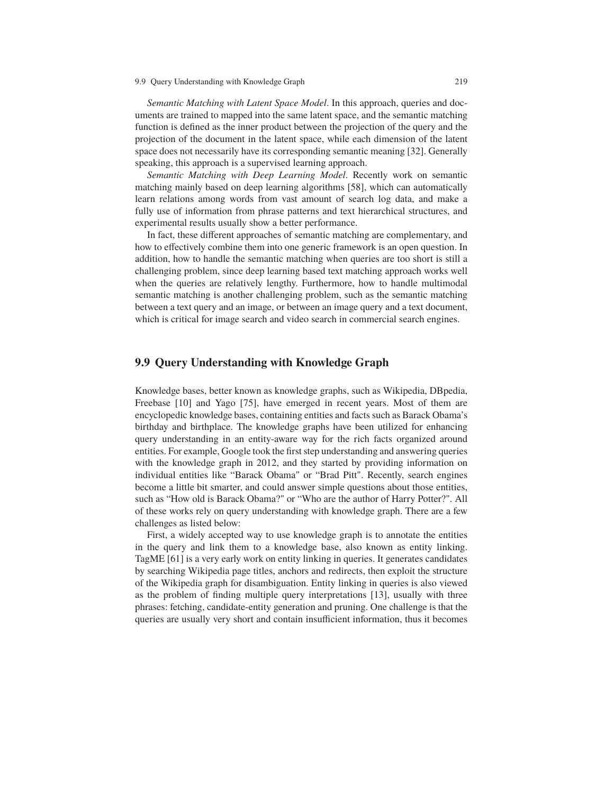#### 9.9 Query Understanding with Knowledge Graph 219

*Semantic Matching with Latent Space Model*. In this approach, queries and documents are trained to mapped into the same latent space, and the semantic matching function is defined as the inner product between the projection of the query and the projection of the document in the latent space, while each dimension of the latent space does not necessarily have its corresponding semantic meaning [32]. Generally speaking, this approach is a supervised learning approach.

*Semantic Matching with Deep Learning Model*. Recently work on semantic matching mainly based on deep learning algorithms [58], which can automatically learn relations among words from vast amount of search log data, and make a fully use of information from phrase patterns and text hierarchical structures, and experimental results usually show a better performance.

In fact, these different approaches of semantic matching are complementary, and how to effectively combine them into one generic framework is an open question. In addition, how to handle the semantic matching when queries are too short is still a challenging problem, since deep learning based text matching approach works well when the queries are relatively lengthy. Furthermore, how to handle multimodal semantic matching is another challenging problem, such as the semantic matching between a text query and an image, or between an image query and a text document, which is critical for image search and video search in commercial search engines.

## **9.9 Query Understanding with Knowledge Graph**

Knowledge bases, better known as knowledge graphs, such as Wikipedia, DBpedia, Freebase [10] and Yago [75], have emerged in recent years. Most of them are encyclopedic knowledge bases, containing entities and facts such as Barack Obama's birthday and birthplace. The knowledge graphs have been utilized for enhancing query understanding in an entity-aware way for the rich facts organized around entities. For example, Google took the first step understanding and answering queries with the knowledge graph in 2012, and they started by providing information on individual entities like "Barack Obama" or "Brad Pitt". Recently, search engines become a little bit smarter, and could answer simple questions about those entities, such as "How old is Barack Obama?" or "Who are the author of Harry Potter?". All of these works rely on query understanding with knowledge graph. There are a few challenges as listed below:

First, a widely accepted way to use knowledge graph is to annotate the entities in the query and link them to a knowledge base, also known as entity linking. TagME [61] is a very early work on entity linking in queries. It generates candidates by searching Wikipedia page titles, anchors and redirects, then exploit the structure of the Wikipedia graph for disambiguation. Entity linking in queries is also viewed as the problem of finding multiple query interpretations [13], usually with three phrases: fetching, candidate-entity generation and pruning. One challenge is that the queries are usually very short and contain insufficient information, thus it becomes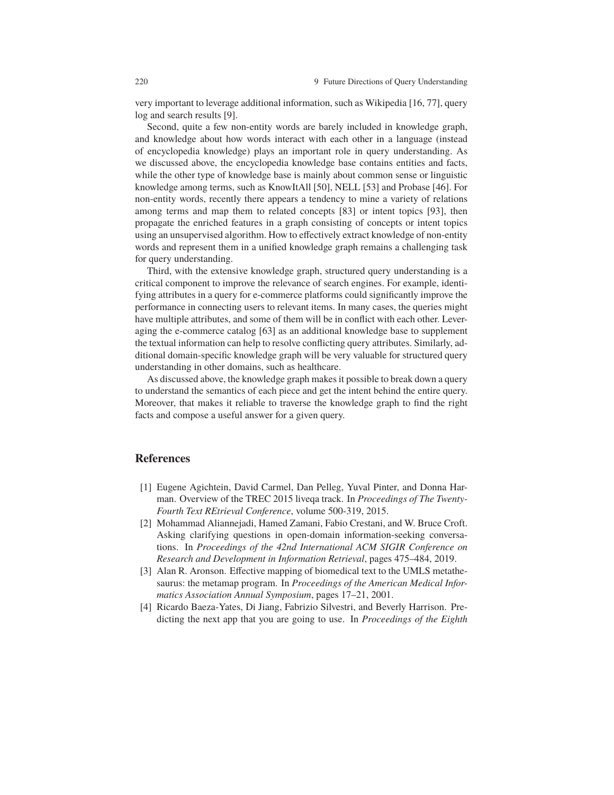very important to leverage additional information, such as Wikipedia [16, 77], query log and search results [9].

Second, quite a few non-entity words are barely included in knowledge graph, and knowledge about how words interact with each other in a language (instead of encyclopedia knowledge) plays an important role in query understanding. As we discussed above, the encyclopedia knowledge base contains entities and facts, while the other type of knowledge base is mainly about common sense or linguistic knowledge among terms, such as KnowItAll [50], NELL [53] and Probase [46]. For non-entity words, recently there appears a tendency to mine a variety of relations among terms and map them to related concepts [83] or intent topics [93], then propagate the enriched features in a graph consisting of concepts or intent topics using an unsupervised algorithm. How to effectively extract knowledge of non-entity words and represent them in a unified knowledge graph remains a challenging task for query understanding.

Third, with the extensive knowledge graph, structured query understanding is a critical component to improve the relevance of search engines. For example, identifying attributes in a query for e-commerce platforms could significantly improve the performance in connecting users to relevant items. In many cases, the queries might have multiple attributes, and some of them will be in conflict with each other. Leveraging the e-commerce catalog [63] as an additional knowledge base to supplement the textual information can help to resolve conflicting query attributes. Similarly, additional domain-specific knowledge graph will be very valuable for structured query understanding in other domains, such as healthcare.

As discussed above, the knowledge graph makes it possible to break down a query to understand the semantics of each piece and get the intent behind the entire query. Moreover, that makes it reliable to traverse the knowledge graph to find the right facts and compose a useful answer for a given query.

- [1] Eugene Agichtein, David Carmel, Dan Pelleg, Yuval Pinter, and Donna Harman. Overview of the TREC 2015 liveqa track. In *Proceedings of The Twenty-Fourth Text REtrieval Conference*, volume 500-319, 2015.
- [2] Mohammad Aliannejadi, Hamed Zamani, Fabio Crestani, and W. Bruce Croft. Asking clarifying questions in open-domain information-seeking conversations. In *Proceedings of the 42nd International ACM SIGIR Conference on Research and Development in Information Retrieval*, pages 475–484, 2019.
- [3] Alan R. Aronson. Effective mapping of biomedical text to the UMLS metathesaurus: the metamap program. In *Proceedings of the American Medical Informatics Association Annual Symposium*, pages 17–21, 2001.
- [4] Ricardo Baeza-Yates, Di Jiang, Fabrizio Silvestri, and Beverly Harrison. Predicting the next app that you are going to use. In *Proceedings of the Eighth*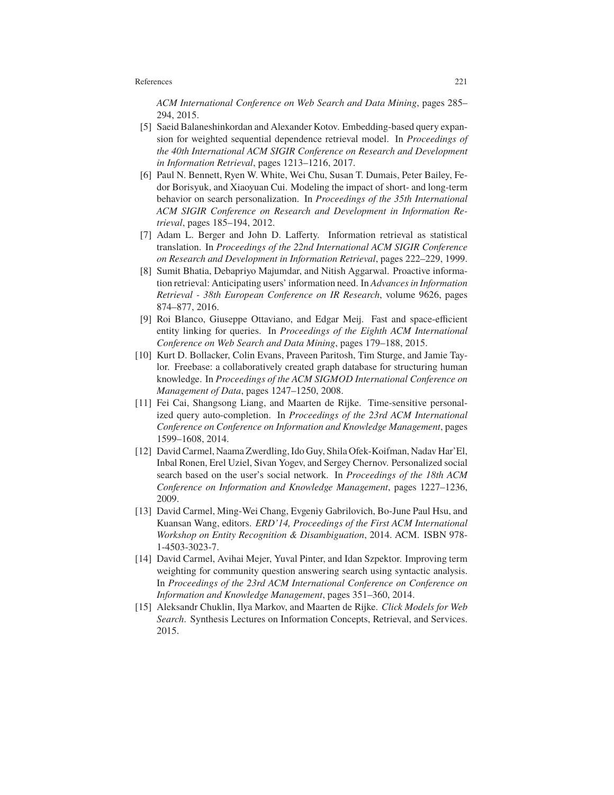*ACM International Conference on Web Search and Data Mining*, pages 285– 294, 2015.

- [5] Saeid Balaneshinkordan and Alexander Kotov. Embedding-based query expansion for weighted sequential dependence retrieval model. In *Proceedings of the 40th International ACM SIGIR Conference on Research and Development in Information Retrieval*, pages 1213–1216, 2017.
- [6] Paul N. Bennett, Ryen W. White, Wei Chu, Susan T. Dumais, Peter Bailey, Fedor Borisyuk, and Xiaoyuan Cui. Modeling the impact of short- and long-term behavior on search personalization. In *Proceedings of the 35th International ACM SIGIR Conference on Research and Development in Information Retrieval*, pages 185–194, 2012.
- [7] Adam L. Berger and John D. Lafferty. Information retrieval as statistical translation. In *Proceedings of the 22nd International ACM SIGIR Conference on Research and Development in Information Retrieval*, pages 222–229, 1999.
- [8] Sumit Bhatia, Debapriyo Majumdar, and Nitish Aggarwal. Proactive information retrieval: Anticipating users' information need. In *Advances in Information Retrieval - 38th European Conference on IR Research*, volume 9626, pages 874–877, 2016.
- [9] Roi Blanco, Giuseppe Ottaviano, and Edgar Meij. Fast and space-efficient entity linking for queries. In *Proceedings of the Eighth ACM International Conference on Web Search and Data Mining*, pages 179–188, 2015.
- [10] Kurt D. Bollacker, Colin Evans, Praveen Paritosh, Tim Sturge, and Jamie Taylor. Freebase: a collaboratively created graph database for structuring human knowledge. In *Proceedings of the ACM SIGMOD International Conference on Management of Data*, pages 1247–1250, 2008.
- [11] Fei Cai, Shangsong Liang, and Maarten de Rijke. Time-sensitive personalized query auto-completion. In *Proceedings of the 23rd ACM International Conference on Conference on Information and Knowledge Management*, pages 1599–1608, 2014.
- [12] David Carmel, Naama Zwerdling, Ido Guy, Shila Ofek-Koifman, Nadav Har'El, Inbal Ronen, Erel Uziel, Sivan Yogev, and Sergey Chernov. Personalized social search based on the user's social network. In *Proceedings of the 18th ACM Conference on Information and Knowledge Management*, pages 1227–1236, 2009.
- [13] David Carmel, Ming-Wei Chang, Evgeniy Gabrilovich, Bo-June Paul Hsu, and Kuansan Wang, editors. *ERD'14, Proceedings of the First ACM International Workshop on Entity Recognition & Disambiguation*, 2014. ACM. ISBN 978- 1-4503-3023-7.
- [14] David Carmel, Avihai Mejer, Yuval Pinter, and Idan Szpektor. Improving term weighting for community question answering search using syntactic analysis. In *Proceedings of the 23rd ACM International Conference on Conference on Information and Knowledge Management*, pages 351–360, 2014.
- [15] Aleksandr Chuklin, Ilya Markov, and Maarten de Rijke. *Click Models for Web Search*. Synthesis Lectures on Information Concepts, Retrieval, and Services. 2015.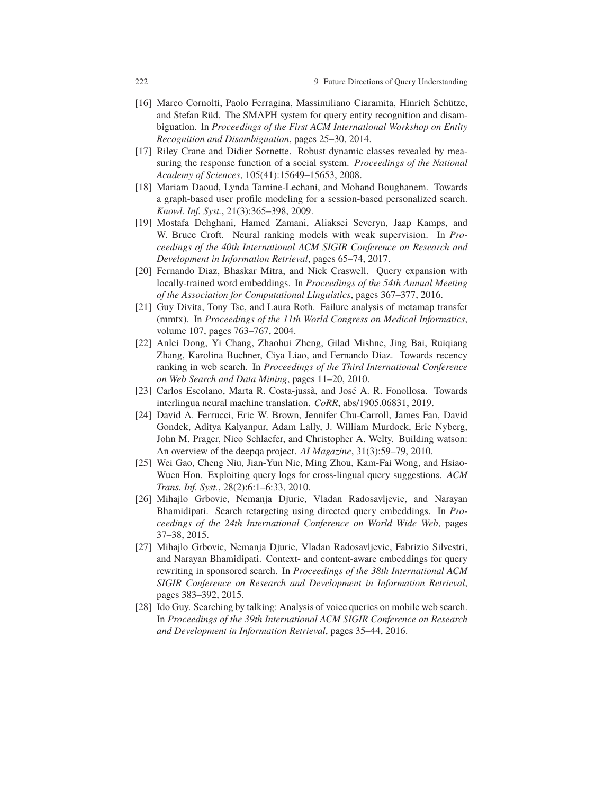- [16] Marco Cornolti, Paolo Ferragina, Massimiliano Ciaramita, Hinrich Schütze, and Stefan Rüd. The SMAPH system for query entity recognition and disambiguation. In *Proceedings of the First ACM International Workshop on Entity Recognition and Disambiguation*, pages 25–30, 2014.
- [17] Riley Crane and Didier Sornette. Robust dynamic classes revealed by measuring the response function of a social system. *Proceedings of the National Academy of Sciences*, 105(41):15649–15653, 2008.
- [18] Mariam Daoud, Lynda Tamine-Lechani, and Mohand Boughanem. Towards a graph-based user profile modeling for a session-based personalized search. *Knowl. Inf. Syst.*, 21(3):365–398, 2009.
- [19] Mostafa Dehghani, Hamed Zamani, Aliaksei Severyn, Jaap Kamps, and W. Bruce Croft. Neural ranking models with weak supervision. In *Proceedings of the 40th International ACM SIGIR Conference on Research and Development in Information Retrieval*, pages 65–74, 2017.
- [20] Fernando Diaz, Bhaskar Mitra, and Nick Craswell. Query expansion with locally-trained word embeddings. In *Proceedings of the 54th Annual Meeting of the Association for Computational Linguistics*, pages 367–377, 2016.
- [21] Guy Divita, Tony Tse, and Laura Roth. Failure analysis of metamap transfer (mmtx). In *Proceedings of the 11th World Congress on Medical Informatics*, volume 107, pages 763–767, 2004.
- [22] Anlei Dong, Yi Chang, Zhaohui Zheng, Gilad Mishne, Jing Bai, Ruiqiang Zhang, Karolina Buchner, Ciya Liao, and Fernando Diaz. Towards recency ranking in web search. In *Proceedings of the Third International Conference on Web Search and Data Mining*, pages 11–20, 2010.
- [23] Carlos Escolano, Marta R. Costa-jussà, and José A. R. Fonollosa. Towards interlingua neural machine translation. *CoRR*, abs/1905.06831, 2019.
- [24] David A. Ferrucci, Eric W. Brown, Jennifer Chu-Carroll, James Fan, David Gondek, Aditya Kalyanpur, Adam Lally, J. William Murdock, Eric Nyberg, John M. Prager, Nico Schlaefer, and Christopher A. Welty. Building watson: An overview of the deepqa project. *AI Magazine*, 31(3):59–79, 2010.
- [25] Wei Gao, Cheng Niu, Jian-Yun Nie, Ming Zhou, Kam-Fai Wong, and Hsiao-Wuen Hon. Exploiting query logs for cross-lingual query suggestions. *ACM Trans. Inf. Syst.*, 28(2):6:1–6:33, 2010.
- [26] Mihajlo Grbovic, Nemanja Djuric, Vladan Radosavljevic, and Narayan Bhamidipati. Search retargeting using directed query embeddings. In *Proceedings of the 24th International Conference on World Wide Web*, pages 37–38, 2015.
- [27] Mihajlo Grbovic, Nemanja Djuric, Vladan Radosavljevic, Fabrizio Silvestri, and Narayan Bhamidipati. Context- and content-aware embeddings for query rewriting in sponsored search. In *Proceedings of the 38th International ACM SIGIR Conference on Research and Development in Information Retrieval*, pages 383–392, 2015.
- [28] Ido Guy. Searching by talking: Analysis of voice queries on mobile web search. In *Proceedings of the 39th International ACM SIGIR Conference on Research and Development in Information Retrieval*, pages 35–44, 2016.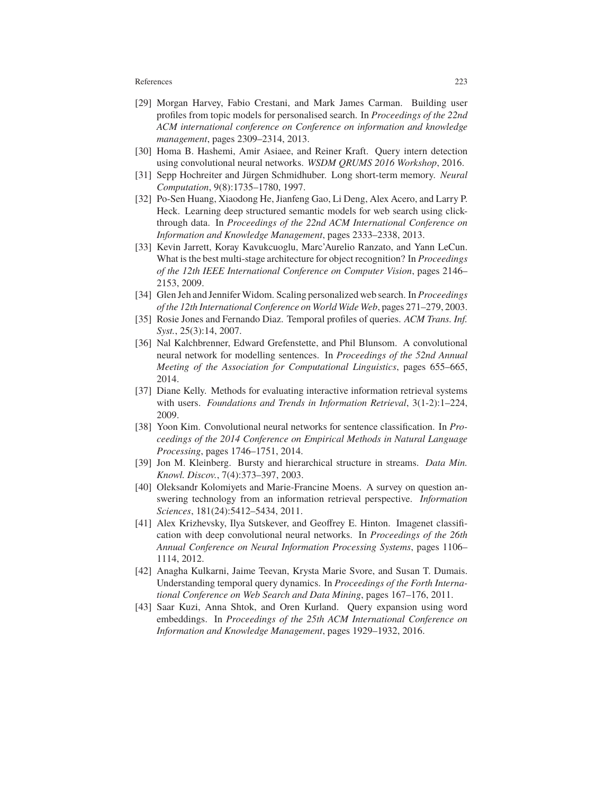- [29] Morgan Harvey, Fabio Crestani, and Mark James Carman. Building user profiles from topic models for personalised search. In *Proceedings of the 22nd ACM international conference on Conference on information and knowledge management*, pages 2309–2314, 2013.
- [30] Homa B. Hashemi, Amir Asiaee, and Reiner Kraft. Query intern detection using convolutional neural networks. *WSDM QRUMS 2016 Workshop*, 2016.
- [31] Sepp Hochreiter and Jürgen Schmidhuber. Long short-term memory. *Neural Computation*, 9(8):1735–1780, 1997.
- [32] Po-Sen Huang, Xiaodong He, Jianfeng Gao, Li Deng, Alex Acero, and Larry P. Heck. Learning deep structured semantic models for web search using clickthrough data. In *Proceedings of the 22nd ACM International Conference on Information and Knowledge Management*, pages 2333–2338, 2013.
- [33] Kevin Jarrett, Koray Kavukcuoglu, Marc'Aurelio Ranzato, and Yann LeCun. What is the best multi-stage architecture for object recognition? In *Proceedings of the 12th IEEE International Conference on Computer Vision*, pages 2146– 2153, 2009.
- [34] Glen Jeh and Jennifer Widom. Scaling personalized web search. In *Proceedings of the 12th International Conference on World Wide Web*, pages 271–279, 2003.
- [35] Rosie Jones and Fernando Diaz. Temporal profiles of queries. *ACM Trans. Inf. Syst.*, 25(3):14, 2007.
- [36] Nal Kalchbrenner, Edward Grefenstette, and Phil Blunsom. A convolutional neural network for modelling sentences. In *Proceedings of the 52nd Annual Meeting of the Association for Computational Linguistics*, pages 655–665, 2014.
- [37] Diane Kelly. Methods for evaluating interactive information retrieval systems with users. *Foundations and Trends in Information Retrieval*, 3(1-2):1–224, 2009.
- [38] Yoon Kim. Convolutional neural networks for sentence classification. In *Proceedings of the 2014 Conference on Empirical Methods in Natural Language Processing*, pages 1746–1751, 2014.
- [39] Jon M. Kleinberg. Bursty and hierarchical structure in streams. *Data Min. Knowl. Discov.*, 7(4):373–397, 2003.
- [40] Oleksandr Kolomiyets and Marie-Francine Moens. A survey on question answering technology from an information retrieval perspective. *Information Sciences*, 181(24):5412–5434, 2011.
- [41] Alex Krizhevsky, Ilya Sutskever, and Geoffrey E. Hinton. Imagenet classification with deep convolutional neural networks. In *Proceedings of the 26th Annual Conference on Neural Information Processing Systems*, pages 1106– 1114, 2012.
- [42] Anagha Kulkarni, Jaime Teevan, Krysta Marie Svore, and Susan T. Dumais. Understanding temporal query dynamics. In *Proceedings of the Forth International Conference on Web Search and Data Mining*, pages 167–176, 2011.
- [43] Saar Kuzi, Anna Shtok, and Oren Kurland. Query expansion using word embeddings. In *Proceedings of the 25th ACM International Conference on Information and Knowledge Management*, pages 1929–1932, 2016.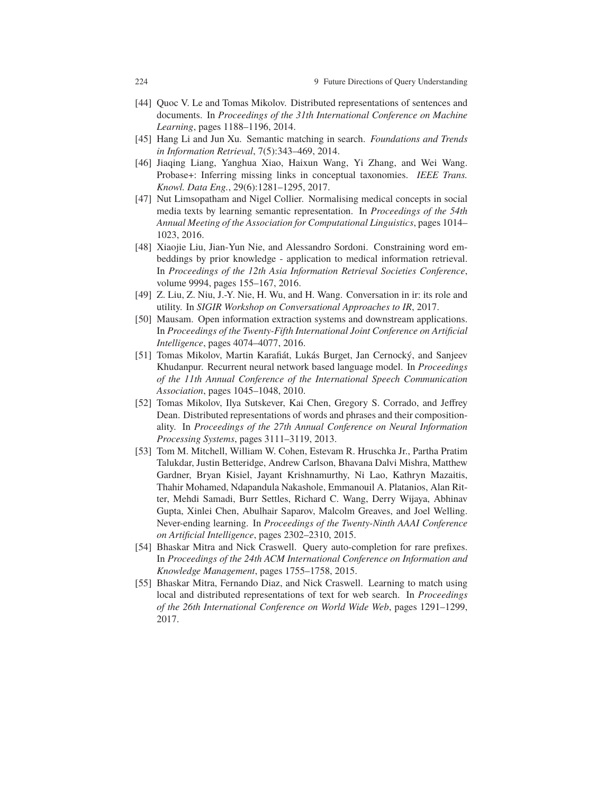- [44] Quoc V. Le and Tomas Mikolov. Distributed representations of sentences and documents. In *Proceedings of the 31th International Conference on Machine Learning*, pages 1188–1196, 2014.
- [45] Hang Li and Jun Xu. Semantic matching in search. *Foundations and Trends in Information Retrieval*, 7(5):343–469, 2014.
- [46] Jiaqing Liang, Yanghua Xiao, Haixun Wang, Yi Zhang, and Wei Wang. Probase+: Inferring missing links in conceptual taxonomies. *IEEE Trans. Knowl. Data Eng.*, 29(6):1281–1295, 2017.
- [47] Nut Limsopatham and Nigel Collier. Normalising medical concepts in social media texts by learning semantic representation. In *Proceedings of the 54th Annual Meeting of the Association for Computational Linguistics*, pages 1014– 1023, 2016.
- [48] Xiaojie Liu, Jian-Yun Nie, and Alessandro Sordoni. Constraining word embeddings by prior knowledge - application to medical information retrieval. In *Proceedings of the 12th Asia Information Retrieval Societies Conference*, volume 9994, pages 155–167, 2016.
- [49] Z. Liu, Z. Niu, J.-Y. Nie, H. Wu, and H. Wang. Conversation in ir: its role and utility. In *SIGIR Workshop on Conversational Approaches to IR*, 2017.
- [50] Mausam. Open information extraction systems and downstream applications. In *Proceedings of the Twenty-Fifth International Joint Conference on Artificial Intelligence*, pages 4074–4077, 2016.
- [51] Tomas Mikolov, Martin Karafiát, Lukás Burget, Jan Cernocký, and Sanjeev Khudanpur. Recurrent neural network based language model. In *Proceedings of the 11th Annual Conference of the International Speech Communication Association*, pages 1045–1048, 2010.
- [52] Tomas Mikolov, Ilya Sutskever, Kai Chen, Gregory S. Corrado, and Jeffrey Dean. Distributed representations of words and phrases and their compositionality. In *Proceedings of the 27th Annual Conference on Neural Information Processing Systems*, pages 3111–3119, 2013.
- [53] Tom M. Mitchell, William W. Cohen, Estevam R. Hruschka Jr., Partha Pratim Talukdar, Justin Betteridge, Andrew Carlson, Bhavana Dalvi Mishra, Matthew Gardner, Bryan Kisiel, Jayant Krishnamurthy, Ni Lao, Kathryn Mazaitis, Thahir Mohamed, Ndapandula Nakashole, Emmanouil A. Platanios, Alan Ritter, Mehdi Samadi, Burr Settles, Richard C. Wang, Derry Wijaya, Abhinav Gupta, Xinlei Chen, Abulhair Saparov, Malcolm Greaves, and Joel Welling. Never-ending learning. In *Proceedings of the Twenty-Ninth AAAI Conference on Artificial Intelligence*, pages 2302–2310, 2015.
- [54] Bhaskar Mitra and Nick Craswell. Query auto-completion for rare prefixes. In *Proceedings of the 24th ACM International Conference on Information and Knowledge Management*, pages 1755–1758, 2015.
- [55] Bhaskar Mitra, Fernando Diaz, and Nick Craswell. Learning to match using local and distributed representations of text for web search. In *Proceedings of the 26th International Conference on World Wide Web*, pages 1291–1299, 2017.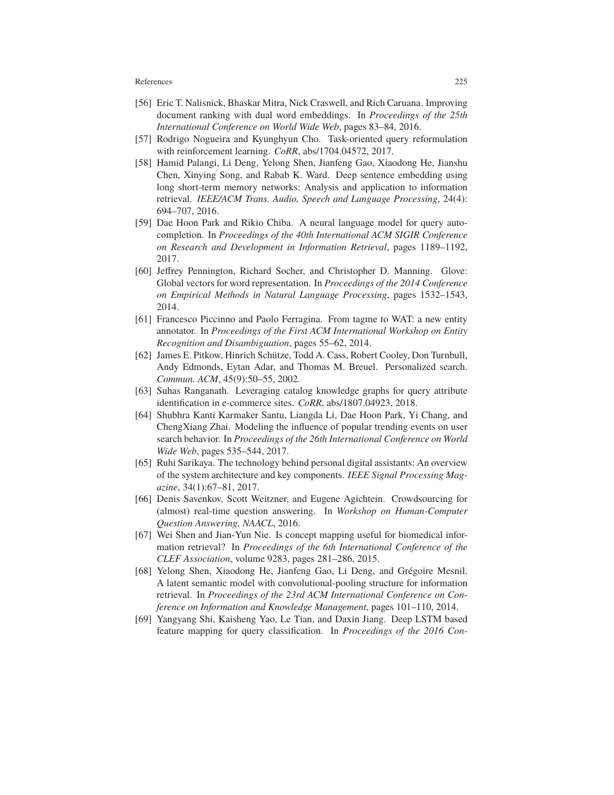- [56] Eric T. Nalisnick, Bhaskar Mitra, Nick Craswell, and Rich Caruana. Improving document ranking with dual word embeddings. In *Proceedings of the 25th International Conference on World Wide Web*, pages 83–84, 2016.
- [57] Rodrigo Nogueira and Kyunghyun Cho. Task-oriented query reformulation with reinforcement learning. *CoRR*, abs/1704.04572, 2017.
- [58] Hamid Palangi, Li Deng, Yelong Shen, Jianfeng Gao, Xiaodong He, Jianshu Chen, Xinying Song, and Rabab K. Ward. Deep sentence embedding using long short-term memory networks: Analysis and application to information retrieval. *IEEE/ACM Trans. Audio, Speech and Language Processing*, 24(4): 694–707, 2016.
- [59] Dae Hoon Park and Rikio Chiba. A neural language model for query autocompletion. In *Proceedings of the 40th International ACM SIGIR Conference on Research and Development in Information Retrieval*, pages 1189–1192, 2017.
- [60] Jeffrey Pennington, Richard Socher, and Christopher D. Manning. Glove: Global vectors for word representation. In *Proceedings of the 2014 Conference on Empirical Methods in Natural Language Processing*, pages 1532–1543, 2014.
- [61] Francesco Piccinno and Paolo Ferragina. From tagme to WAT: a new entity annotator. In *Proceedings of the First ACM International Workshop on Entity Recognition and Disambiguation*, pages 55–62, 2014.
- [62] James E. Pitkow, Hinrich Schütze, Todd A. Cass, Robert Cooley, Don Turnbull, Andy Edmonds, Eytan Adar, and Thomas M. Breuel. Personalized search. *Commun. ACM*, 45(9):50–55, 2002.
- [63] Suhas Ranganath. Leveraging catalog knowledge graphs for query attribute identification in e-commerce sites. *CoRR*, abs/1807.04923, 2018.
- [64] Shubhra Kanti Karmaker Santu, Liangda Li, Dae Hoon Park, Yi Chang, and ChengXiang Zhai. Modeling the influence of popular trending events on user search behavior. In *Proceedings of the 26th International Conference on World Wide Web*, pages 535–544, 2017.
- [65] Ruhi Sarikaya. The technology behind personal digital assistants: An overview of the system architecture and key components. *IEEE Signal Processing Magazine*, 34(1):67–81, 2017.
- [66] Denis Savenkov, Scott Weitzner, and Eugene Agichtein. Crowdsourcing for (almost) real-time question answering. In *Workshop on Human-Computer Question Answering, NAACL*, 2016.
- [67] Wei Shen and Jian-Yun Nie. Is concept mapping useful for biomedical information retrieval? In *Proceedings of the 6th International Conference of the CLEF Association*, volume 9283, pages 281–286, 2015.
- [68] Yelong Shen, Xiaodong He, Jianfeng Gao, Li Deng, and Grégoire Mesnil. A latent semantic model with convolutional-pooling structure for information retrieval. In *Proceedings of the 23rd ACM International Conference on Conference on Information and Knowledge Management*, pages 101–110, 2014.
- [69] Yangyang Shi, Kaisheng Yao, Le Tian, and Daxin Jiang. Deep LSTM based feature mapping for query classification. In *Proceedings of the 2016 Con-*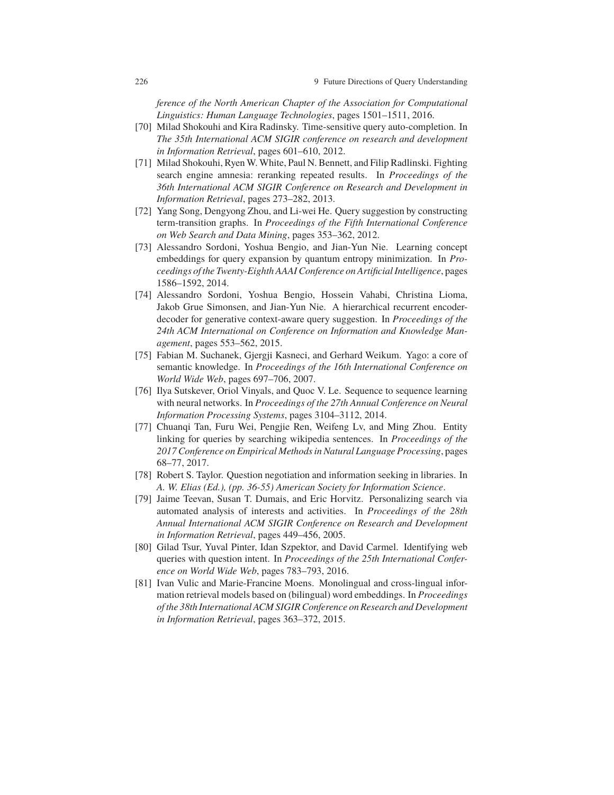226 9 Future Directions of Query Understanding

*ference of the North American Chapter of the Association for Computational Linguistics: Human Language Technologies*, pages 1501–1511, 2016.

- [70] Milad Shokouhi and Kira Radinsky. Time-sensitive query auto-completion. In *The 35th International ACM SIGIR conference on research and development in Information Retrieval*, pages 601–610, 2012.
- [71] Milad Shokouhi, Ryen W. White, Paul N. Bennett, and Filip Radlinski. Fighting search engine amnesia: reranking repeated results. In *Proceedings of the 36th International ACM SIGIR Conference on Research and Development in Information Retrieval*, pages 273–282, 2013.
- [72] Yang Song, Dengyong Zhou, and Li-wei He. Query suggestion by constructing term-transition graphs. In *Proceedings of the Fifth International Conference on Web Search and Data Mining*, pages 353–362, 2012.
- [73] Alessandro Sordoni, Yoshua Bengio, and Jian-Yun Nie. Learning concept embeddings for query expansion by quantum entropy minimization. In *Proceedings of the Twenty-Eighth AAAI Conference on Artificial Intelligence*, pages 1586–1592, 2014.
- [74] Alessandro Sordoni, Yoshua Bengio, Hossein Vahabi, Christina Lioma, Jakob Grue Simonsen, and Jian-Yun Nie. A hierarchical recurrent encoderdecoder for generative context-aware query suggestion. In *Proceedings of the 24th ACM International on Conference on Information and Knowledge Management*, pages 553–562, 2015.
- [75] Fabian M. Suchanek, Gjergji Kasneci, and Gerhard Weikum. Yago: a core of semantic knowledge. In *Proceedings of the 16th International Conference on World Wide Web*, pages 697–706, 2007.
- [76] Ilya Sutskever, Oriol Vinyals, and Quoc V. Le. Sequence to sequence learning with neural networks. In *Proceedings of the 27th Annual Conference on Neural Information Processing Systems*, pages 3104–3112, 2014.
- [77] Chuanqi Tan, Furu Wei, Pengjie Ren, Weifeng Lv, and Ming Zhou. Entity linking for queries by searching wikipedia sentences. In *Proceedings of the 2017 Conference on Empirical Methods in Natural Language Processing*, pages 68–77, 2017.
- [78] Robert S. Taylor. Question negotiation and information seeking in libraries. In *A. W. Elias (Ed.), (pp. 36-55) American Society for Information Science*.
- [79] Jaime Teevan, Susan T. Dumais, and Eric Horvitz. Personalizing search via automated analysis of interests and activities. In *Proceedings of the 28th Annual International ACM SIGIR Conference on Research and Development in Information Retrieval*, pages 449–456, 2005.
- [80] Gilad Tsur, Yuval Pinter, Idan Szpektor, and David Carmel. Identifying web queries with question intent. In *Proceedings of the 25th International Conference on World Wide Web*, pages 783–793, 2016.
- [81] Ivan Vulic and Marie-Francine Moens. Monolingual and cross-lingual information retrieval models based on (bilingual) word embeddings. In *Proceedings of the 38th International ACM SIGIR Conference on Research and Development in Information Retrieval*, pages 363–372, 2015.